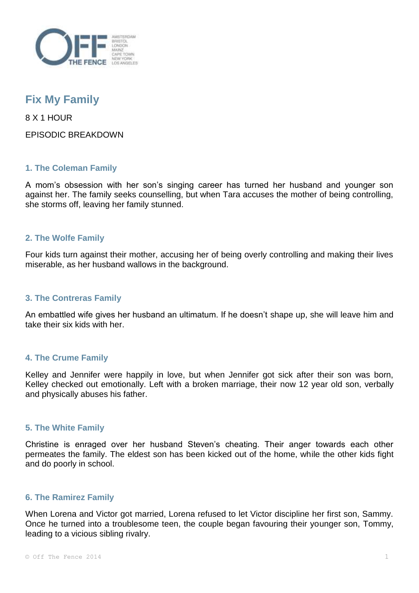

# **Fix My Family**

8 X 1 HOUR

EPISODIC BREAKDOWN

# **1. The Coleman Family**

A mom's obsession with her son's singing career has turned her husband and younger son against her. The family seeks counselling, but when Tara accuses the mother of being controlling, she storms off, leaving her family stunned.

## **2. The Wolfe Family**

Four kids turn against their mother, accusing her of being overly controlling and making their lives miserable, as her husband wallows in the background.

## **3. The Contreras Family**

An embattled wife gives her husband an ultimatum. If he doesn't shape up, she will leave him and take their six kids with her.

## **4. The Crume Family**

Kelley and Jennifer were happily in love, but when Jennifer got sick after their son was born, Kelley checked out emotionally. Left with a broken marriage, their now 12 year old son, verbally and physically abuses his father.

## **5. The White Family**

Christine is enraged over her husband Steven's cheating. Their anger towards each other permeates the family. The eldest son has been kicked out of the home, while the other kids fight and do poorly in school.

## **6. The Ramirez Family**

When Lorena and Victor got married, Lorena refused to let Victor discipline her first son, Sammy. Once he turned into a troublesome teen, the couple began favouring their younger son, Tommy, leading to a vicious sibling rivalry.